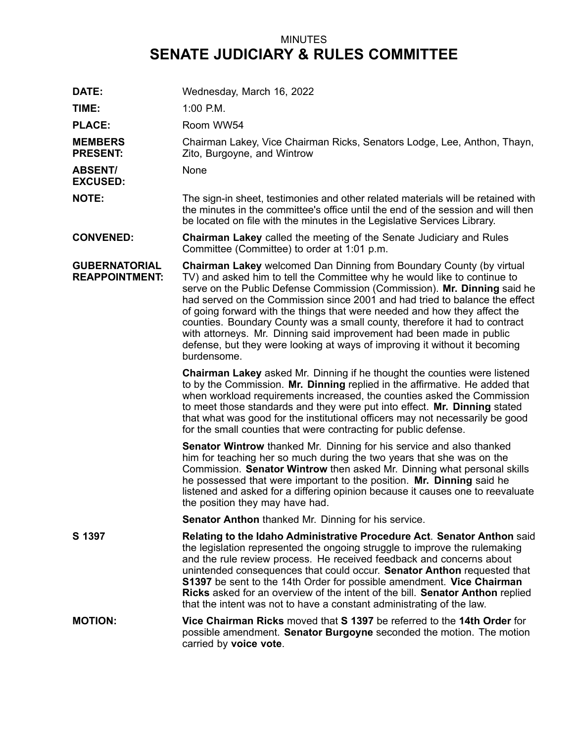## MINUTES **SENATE JUDICIARY & RULES COMMITTEE**

| DATE:                                         | Wednesday, March 16, 2022                                                                                                                                                                                                                                                                                                                                                                                                                                                                                                                                                                                                                          |
|-----------------------------------------------|----------------------------------------------------------------------------------------------------------------------------------------------------------------------------------------------------------------------------------------------------------------------------------------------------------------------------------------------------------------------------------------------------------------------------------------------------------------------------------------------------------------------------------------------------------------------------------------------------------------------------------------------------|
| TIME:                                         | $1:00$ P.M.                                                                                                                                                                                                                                                                                                                                                                                                                                                                                                                                                                                                                                        |
| <b>PLACE:</b>                                 | Room WW54                                                                                                                                                                                                                                                                                                                                                                                                                                                                                                                                                                                                                                          |
| <b>MEMBERS</b><br><b>PRESENT:</b>             | Chairman Lakey, Vice Chairman Ricks, Senators Lodge, Lee, Anthon, Thayn,<br>Zito, Burgoyne, and Wintrow                                                                                                                                                                                                                                                                                                                                                                                                                                                                                                                                            |
| <b>ABSENT/</b><br><b>EXCUSED:</b>             | None                                                                                                                                                                                                                                                                                                                                                                                                                                                                                                                                                                                                                                               |
| <b>NOTE:</b>                                  | The sign-in sheet, testimonies and other related materials will be retained with<br>the minutes in the committee's office until the end of the session and will then<br>be located on file with the minutes in the Legislative Services Library.                                                                                                                                                                                                                                                                                                                                                                                                   |
| <b>CONVENED:</b>                              | <b>Chairman Lakey</b> called the meeting of the Senate Judiciary and Rules<br>Committee (Committee) to order at 1:01 p.m.                                                                                                                                                                                                                                                                                                                                                                                                                                                                                                                          |
| <b>GUBERNATORIAL</b><br><b>REAPPOINTMENT:</b> | <b>Chairman Lakey</b> welcomed Dan Dinning from Boundary County (by virtual<br>TV) and asked him to tell the Committee why he would like to continue to<br>serve on the Public Defense Commission (Commission). Mr. Dinning said he<br>had served on the Commission since 2001 and had tried to balance the effect<br>of going forward with the things that were needed and how they affect the<br>counties. Boundary County was a small county, therefore it had to contract<br>with attorneys. Mr. Dinning said improvement had been made in public<br>defense, but they were looking at ways of improving it without it becoming<br>burdensome. |
|                                               | Chairman Lakey asked Mr. Dinning if he thought the counties were listened<br>to by the Commission. Mr. Dinning replied in the affirmative. He added that<br>when workload requirements increased, the counties asked the Commission<br>to meet those standards and they were put into effect. Mr. Dinning stated<br>that what was good for the institutional officers may not necessarily be good<br>for the small counties that were contracting for public defense.                                                                                                                                                                              |
|                                               | <b>Senator Wintrow</b> thanked Mr. Dinning for his service and also thanked<br>him for teaching her so much during the two years that she was on the<br>Commission. Senator Wintrow then asked Mr. Dinning what personal skills<br>he possessed that were important to the position. Mr. Dinning said he<br>listened and asked for a differing opinion because it causes one to reevaluate<br>the position they may have had.                                                                                                                                                                                                                      |
|                                               | <b>Senator Anthon</b> thanked Mr. Dinning for his service.                                                                                                                                                                                                                                                                                                                                                                                                                                                                                                                                                                                         |
| S 1397                                        | Relating to the Idaho Administrative Procedure Act. Senator Anthon said<br>the legislation represented the ongoing struggle to improve the rulemaking<br>and the rule review process. He received feedback and concerns about<br>unintended consequences that could occur. Senator Anthon requested that<br>S1397 be sent to the 14th Order for possible amendment. Vice Chairman<br>Ricks asked for an overview of the intent of the bill. Senator Anthon replied<br>that the intent was not to have a constant administrating of the law.                                                                                                        |
| <b>MOTION:</b>                                | Vice Chairman Ricks moved that S 1397 be referred to the 14th Order for<br>possible amendment. Senator Burgoyne seconded the motion. The motion<br>carried by voice vote.                                                                                                                                                                                                                                                                                                                                                                                                                                                                          |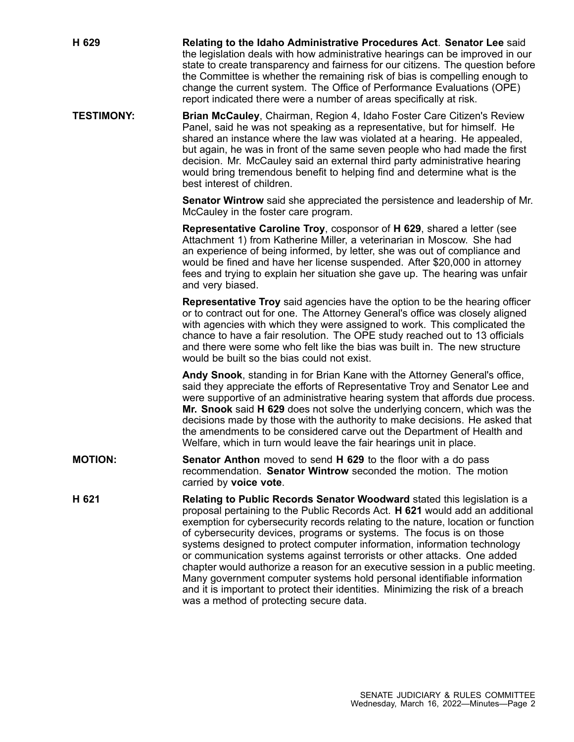| H 629             | Relating to the Idaho Administrative Procedures Act. Senator Lee said<br>the legislation deals with how administrative hearings can be improved in our<br>state to create transparency and fairness for our citizens. The question before<br>the Committee is whether the remaining risk of bias is compelling enough to<br>change the current system. The Office of Performance Evaluations (OPE)<br>report indicated there were a number of areas specifically at risk.                                                                                                                                                                                                                                                                                               |
|-------------------|-------------------------------------------------------------------------------------------------------------------------------------------------------------------------------------------------------------------------------------------------------------------------------------------------------------------------------------------------------------------------------------------------------------------------------------------------------------------------------------------------------------------------------------------------------------------------------------------------------------------------------------------------------------------------------------------------------------------------------------------------------------------------|
| <b>TESTIMONY:</b> | Brian McCauley, Chairman, Region 4, Idaho Foster Care Citizen's Review<br>Panel, said he was not speaking as a representative, but for himself. He<br>shared an instance where the law was violated at a hearing. He appealed,<br>but again, he was in front of the same seven people who had made the first<br>decision. Mr. McCauley said an external third party administrative hearing<br>would bring tremendous benefit to helping find and determine what is the<br>best interest of children.                                                                                                                                                                                                                                                                    |
|                   | <b>Senator Wintrow</b> said she appreciated the persistence and leadership of Mr.<br>McCauley in the foster care program.                                                                                                                                                                                                                                                                                                                                                                                                                                                                                                                                                                                                                                               |
|                   | Representative Caroline Troy, cosponsor of H 629, shared a letter (see<br>Attachment 1) from Katherine Miller, a veterinarian in Moscow. She had<br>an experience of being informed, by letter, she was out of compliance and<br>would be fined and have her license suspended. After \$20,000 in attorney<br>fees and trying to explain her situation she gave up. The hearing was unfair<br>and very biased.                                                                                                                                                                                                                                                                                                                                                          |
|                   | <b>Representative Troy</b> said agencies have the option to be the hearing officer<br>or to contract out for one. The Attorney General's office was closely aligned<br>with agencies with which they were assigned to work. This complicated the<br>chance to have a fair resolution. The OPE study reached out to 13 officials<br>and there were some who felt like the bias was built in. The new structure<br>would be built so the bias could not exist.                                                                                                                                                                                                                                                                                                            |
|                   | Andy Snook, standing in for Brian Kane with the Attorney General's office,<br>said they appreciate the efforts of Representative Troy and Senator Lee and<br>were supportive of an administrative hearing system that affords due process.<br>Mr. Snook said H 629 does not solve the underlying concern, which was the<br>decisions made by those with the authority to make decisions. He asked that<br>the amendments to be considered carve out the Department of Health and<br>Welfare, which in turn would leave the fair hearings unit in place.                                                                                                                                                                                                                 |
| <b>MOTION:</b>    | Senator Anthon moved to send H 629 to the floor with a do pass<br>recommendation. Senator Wintrow seconded the motion. The motion<br>carried by voice vote.                                                                                                                                                                                                                                                                                                                                                                                                                                                                                                                                                                                                             |
| H 621             | Relating to Public Records Senator Woodward stated this legislation is a<br>proposal pertaining to the Public Records Act. H 621 would add an additional<br>exemption for cybersecurity records relating to the nature, location or function<br>of cybersecurity devices, programs or systems. The focus is on those<br>systems designed to protect computer information, information technology<br>or communication systems against terrorists or other attacks. One added<br>chapter would authorize a reason for an executive session in a public meeting.<br>Many government computer systems hold personal identifiable information<br>and it is important to protect their identities. Minimizing the risk of a breach<br>was a method of protecting secure data. |